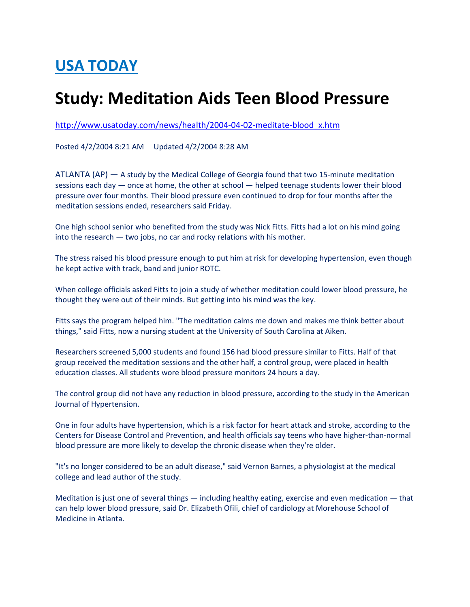## USA TODAY

## Study: Meditation Aids Teen Blood Pressure

http://www.usatoday.com/news/health/2004-04-02-meditate-blood\_x.htm

Posted 4/2/2004 8:21 AM Updated 4/2/2004 8:28 AM

ATLANTA (AP) — A study by the Medical College of Georgia found that two 15-minute meditation sessions each day — once at home, the other at school — helped teenage students lower their blood pressure over four months. Their blood pressure even continued to drop for four months after the meditation sessions ended, researchers said Friday.

One high school senior who benefited from the study was Nick Fitts. Fitts had a lot on his mind going into the research — two jobs, no car and rocky relations with his mother.

The stress raised his blood pressure enough to put him at risk for developing hypertension, even though he kept active with track, band and junior ROTC.

When college officials asked Fitts to join a study of whether meditation could lower blood pressure, he thought they were out of their minds. But getting into his mind was the key.

Fitts says the program helped him. "The meditation calms me down and makes me think better about things," said Fitts, now a nursing student at the University of South Carolina at Aiken.

Researchers screened 5,000 students and found 156 had blood pressure similar to Fitts. Half of that group received the meditation sessions and the other half, a control group, were placed in health education classes. All students wore blood pressure monitors 24 hours a day.

The control group did not have any reduction in blood pressure, according to the study in the American Journal of Hypertension.

One in four adults have hypertension, which is a risk factor for heart attack and stroke, according to the Centers for Disease Control and Prevention, and health officials say teens who have higher-than-normal blood pressure are more likely to develop the chronic disease when they're older.

"It's no longer considered to be an adult disease," said Vernon Barnes, a physiologist at the medical college and lead author of the study.

Meditation is just one of several things — including healthy eating, exercise and even medication — that can help lower blood pressure, said Dr. Elizabeth Ofili, chief of cardiology at Morehouse School of Medicine in Atlanta.